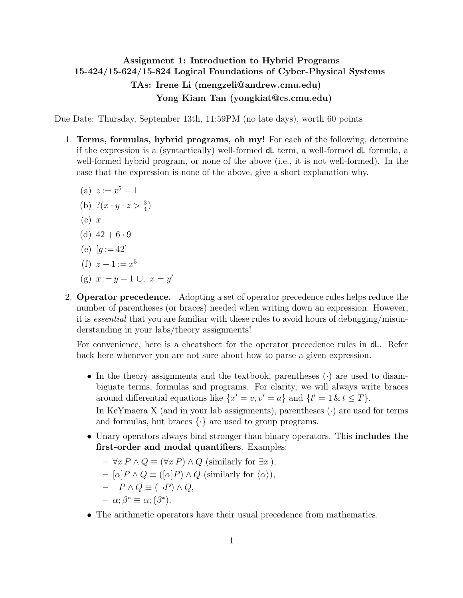## Assignment 1: Introduction to Hybrid Programs 15-424/15-624/15-824 Logical Foundations of Cyber-Physical Systems TAs: Irene Li (mengzeli@andrew.cmu.edu) Yong Kiam Tan (yongkiat@cs.cmu.edu)

Due Date: Thursday, September 13th, 11:59PM (no late days), worth 60 points

- 1. Terms, formulas, hybrid programs, oh my! For each of the following, determine if the expression is a (syntactically) well-formed dL term, a well-formed dL formula, a well-formed hybrid program, or none of the above (i.e., it is not well-formed). In the case that the expression is none of the above, give a short explanation why.
	- (a)  $z := x^5 1$
	- (b)  $? (x \cdot y \cdot z > \frac{3}{4})$
	- $(c)$  x
	- (d)  $42 + 6 \cdot 9$
	- (e)  $[q := 42]$
	- (f)  $z + 1 := x^5$
	- (g)  $x := y + 1 \cup; x = y'$
- 2. Operator precedence. Adopting a set of operator precedence rules helps reduce the number of parentheses (or braces) needed when writing down an expression. However, it is essential that you are familiar with these rules to avoid hours of debugging/misunderstanding in your labs/theory assignments!

For convenience, here is a cheatsheet for the operator precedence rules in dL. Refer back here whenever you are not sure about how to parse a given expression.

• In the theory assignments and the textbook, parentheses  $(\cdot)$  are used to disambiguate terms, formulas and programs. For clarity, we will always write braces around differential equations like  $\{x' = v, v' = a\}$  and  $\{t' = 1 \& t \leq T\}$ .

In KeYmaera X (and in your lab assignments), parentheses  $(\cdot)$  are used for terms and formulas, but braces  $\{\cdot\}$  are used to group programs.

• Unary operators always bind stronger than binary operators. This includes the first-order and modal quantifiers. Examples:

$$
- \forall x P \land Q \equiv (\forall x P) \land Q \text{ (similarly for } \exists x),- [\alpha] P \land Q \equiv ([\alpha] P) \land Q \text{ (similarly for } \langle \alpha \rangle),- \neg P \land Q \equiv (\neg P) \land Q,- \alpha; \beta^* \equiv \alpha; (\beta^*).
$$

• The arithmetic operators have their usual precedence from mathematics.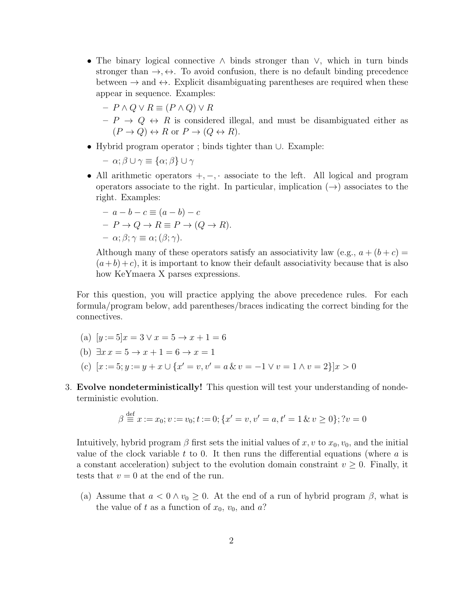- The binary logical connective ∧ binds stronger than ∨, which in turn binds stronger than  $\rightarrow, \leftrightarrow$ . To avoid confusion, there is no default binding precedence between  $\rightarrow$  and  $\leftrightarrow$ . Explicit disambiguating parentheses are required when these appear in sequence. Examples:
	- $-P \wedge Q \vee R \equiv (P \wedge Q) \vee R$
	- $-P \rightarrow Q \leftrightarrow R$  is considered illegal, and must be disambiguated either as  $(P \to Q) \leftrightarrow R$  or  $P \to (Q \leftrightarrow R)$ .
- Hybrid program operator ; binds tighter than ∪. Example:

 $- \alpha$ ;  $\beta \cup \gamma \equiv {\alpha; \beta} \cup \gamma$ 

• All arithmetic operators  $+,-$ , associate to the left. All logical and program operators associate to the right. In particular, implication  $(\rightarrow)$  associates to the right. Examples:

$$
- a - b - c \equiv (a - b) - c
$$
  

$$
- P \to Q \to R \equiv P \to (Q \to R).
$$
  

$$
- \alpha; \beta; \gamma \equiv \alpha; (\beta; \gamma).
$$

Although many of these operators satisfy an associativity law (e.g.,  $a + (b + c) =$  $(a+b)+c$ , it is important to know their default associativity because that is also how KeYmaera X parses expressions.

For this question, you will practice applying the above precedence rules. For each formula/program below, add parentheses/braces indicating the correct binding for the connectives.

(a)  $[y := 5]x = 3 \vee x = 5 \rightarrow x + 1 = 6$ 

(b) 
$$
\exists x \, x = 5 \to x + 1 = 6 \to x = 1
$$

(c) 
$$
[x := 5; y := y + x \cup \{x' = v, v' = a \& v = -1 \lor v = 1 \land v = 2\}]x > 0
$$

3. Evolve nondeterministically! This question will test your understanding of nondeterministic evolution.

$$
\beta \stackrel{\text{def}}{=} x := x_0; v := v_0; t := 0; \{x' = v, v' = a, t' = 1 \& v \ge 0\}; ?v = 0
$$

Intuitively, hybrid program  $\beta$  first sets the initial values of x, v to  $x_0, v_0$ , and the initial value of the clock variable t to 0. It then runs the differential equations (where  $a$  is a constant acceleration) subject to the evolution domain constraint  $v \geq 0$ . Finally, it tests that  $v = 0$  at the end of the run.

(a) Assume that  $a < 0 \wedge v_0 \geq 0$ . At the end of a run of hybrid program  $\beta$ , what is the value of t as a function of  $x_0$ ,  $v_0$ , and a?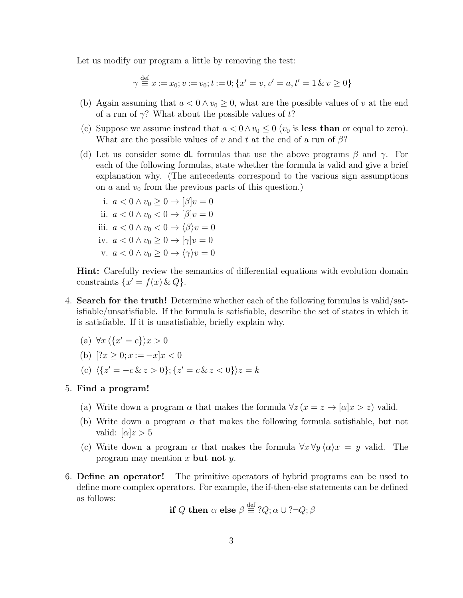Let us modify our program a little by removing the test:

$$
\gamma \stackrel{\text{def}}{=} x := x_0; v := v_0; t := 0; \{x' = v, v' = a, t' = 1 \& v \ge 0\}
$$

- (b) Again assuming that  $a < 0 \wedge v_0 \geq 0$ , what are the possible values of v at the end of a run of  $\gamma$ ? What about the possible values of t?
- (c) Suppose we assume instead that  $a < 0 \wedge v_0 \leq 0$  ( $v_0$  is less than or equal to zero). What are the possible values of v and t at the end of a run of  $\beta$ ?
- (d) Let us consider some dL formulas that use the above programs  $\beta$  and  $\gamma$ . For each of the following formulas, state whether the formula is valid and give a brief explanation why. (The antecedents correspond to the various sign assumptions on  $a$  and  $v_0$  from the previous parts of this question.)

i.  $a < 0 \wedge v_0 \geq 0 \rightarrow [\beta]v = 0$ ii.  $a < 0 \wedge v_0 < 0 \rightarrow \beta | v = 0$ iii.  $a < 0 \wedge v_0 < 0 \rightarrow \langle \beta \rangle v = 0$ iv.  $a < 0 \wedge v_0 \geq 0 \rightarrow |\gamma| v = 0$ v.  $a < 0 \wedge v_0 > 0 \rightarrow \langle \gamma \rangle v = 0$ 

Hint: Carefully review the semantics of differential equations with evolution domain constraints  $\{x' = f(x) \& Q\}.$ 

- 4. Search for the truth! Determine whether each of the following formulas is valid/satisfiable/unsatisfiable. If the formula is satisfiable, describe the set of states in which it is satisfiable. If it is unsatisfiable, briefly explain why.
	- (a)  $\forall x \langle \{x' = c\} \rangle x > 0$
	- (b)  $[?x > 0; x := -x]x < 0$
	- (c)  $\langle \{z' = -c \& z > 0\}; \{z' = c \& z < 0\} \rangle z = k$
- 5. Find a program!
	- (a) Write down a program  $\alpha$  that makes the formula  $\forall z (x = z \rightarrow [\alpha]x > z)$  valid.
	- (b) Write down a program  $\alpha$  that makes the following formula satisfiable, but not valid:  $\alpha | z > 5$
	- (c) Write down a program  $\alpha$  that makes the formula  $\forall x \forall y \langle \alpha \rangle x = y$  valid. The program may mention  $x$  but not  $y$ .
- 6. Define an operator! The primitive operators of hybrid programs can be used to define more complex operators. For example, the if-then-else statements can be defined as follows:

if *Q* then 
$$
\alpha
$$
 else  $\beta \stackrel{\text{def}}{=} ?Q; \alpha \cup ?\neg Q; \beta$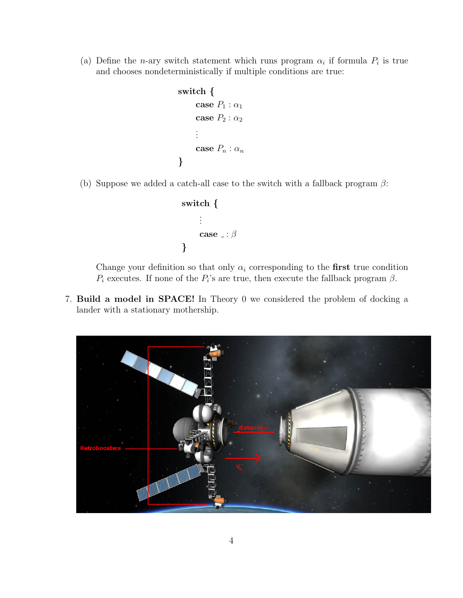(a) Define the *n*-ary switch statement which runs program  $\alpha_i$  if formula  $P_i$  is true and chooses nondeterministically if multiple conditions are true:

```
switch {
      case P_1 : \alpha_1case P_2 : \alpha_2.
.
.
      case P_n: \alpha_n}
```
(b) Suppose we added a catch-all case to the switch with a fallback program  $\beta$ :

```
switch {
         .
.
.
        case \overline{\ } : \beta}
```
Change your definition so that only  $\alpha_i$  corresponding to the first true condition  $P_i$  executes. If none of the  $P_i$ 's are true, then execute the fallback program  $\beta$ .

7. Build a model in SPACE! In Theory 0 we considered the problem of docking a lander with a stationary mothership.